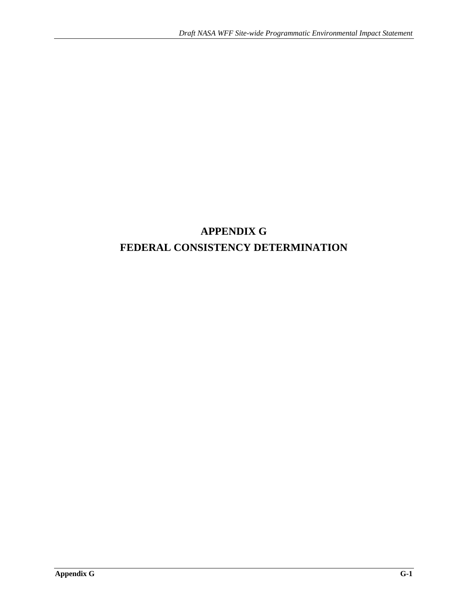# **APPENDIX G FEDERAL CONSISTENCY DETERMINATION**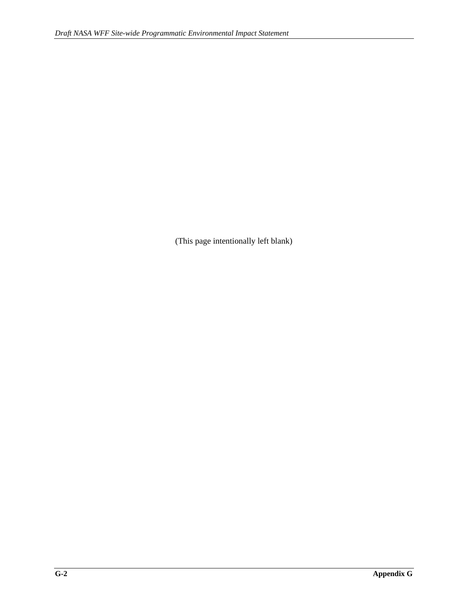(This page intentionally left blank)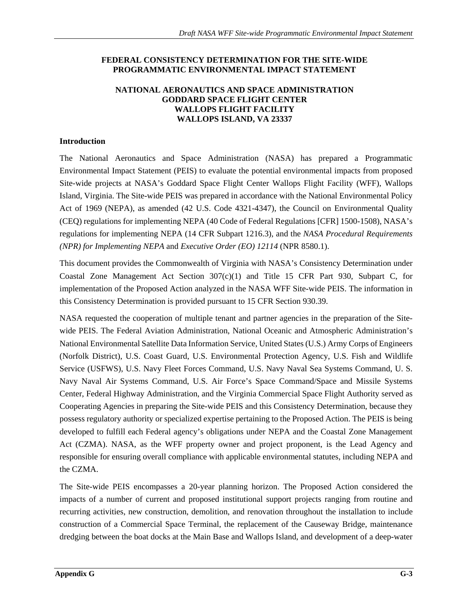## **FEDERAL CONSISTENCY DETERMINATION FOR THE SITE-WIDE PROGRAMMATIC ENVIRONMENTAL IMPACT STATEMENT**

#### **NATIONAL AERONAUTICS AND SPACE ADMINISTRATION GODDARD SPACE FLIGHT CENTER WALLOPS FLIGHT FACILITY WALLOPS ISLAND, VA 23337**

## **Introduction**

The National Aeronautics and Space Administration (NASA) has prepared a Programmatic Environmental Impact Statement (PEIS) to evaluate the potential environmental impacts from proposed Site-wide projects at NASA's Goddard Space Flight Center Wallops Flight Facility (WFF), Wallops Island, Virginia. The Site-wide PEIS was prepared in accordance with the National Environmental Policy Act of 1969 (NEPA), as amended (42 U.S. Code 4321-4347), the Council on Environmental Quality (CEQ) regulations for implementing NEPA (40 Code of Federal Regulations [CFR] 1500-1508), NASA's regulations for implementing NEPA (14 CFR Subpart 1216.3), and the *NASA Procedural Requirements (NPR) for Implementing NEPA* and *Executive Order (EO) 12114* (NPR 8580.1).

This document provides the Commonwealth of Virginia with NASA's Consistency Determination under Coastal Zone Management Act Section 307(c)(1) and Title 15 CFR Part 930, Subpart C, for implementation of the Proposed Action analyzed in the NASA WFF Site-wide PEIS. The information in this Consistency Determination is provided pursuant to 15 CFR Section 930.39.

NASA requested the cooperation of multiple tenant and partner agencies in the preparation of the Sitewide PEIS. The Federal Aviation Administration, National Oceanic and Atmospheric Administration's National Environmental Satellite Data Information Service, United States (U.S.) Army Corps of Engineers (Norfolk District), U.S. Coast Guard, U.S. Environmental Protection Agency, U.S. Fish and Wildlife Service (USFWS), U.S. Navy Fleet Forces Command, U.S. Navy Naval Sea Systems Command, U. S. Navy Naval Air Systems Command, U.S. Air Force's Space Command/Space and Missile Systems Center, Federal Highway Administration, and the Virginia Commercial Space Flight Authority served as Cooperating Agencies in preparing the Site-wide PEIS and this Consistency Determination, because they possess regulatory authority or specialized expertise pertaining to the Proposed Action. The PEIS is being developed to fulfill each Federal agency's obligations under NEPA and the Coastal Zone Management Act (CZMA). NASA, as the WFF property owner and project proponent, is the Lead Agency and responsible for ensuring overall compliance with applicable environmental statutes, including NEPA and the CZMA.

The Site-wide PEIS encompasses a 20-year planning horizon. The Proposed Action considered the impacts of a number of current and proposed institutional support projects ranging from routine and recurring activities, new construction, demolition, and renovation throughout the installation to include construction of a Commercial Space Terminal, the replacement of the Causeway Bridge, maintenance dredging between the boat docks at the Main Base and Wallops Island, and development of a deep-water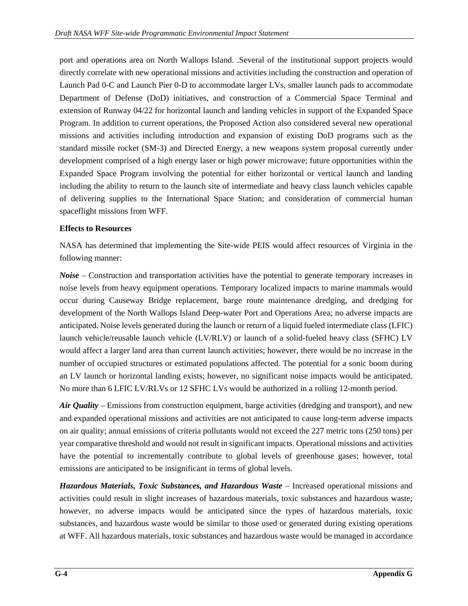port and operations area on North Wallops Island. .Several of the institutional support projects would directly correlate with new operational missions and activities including the construction and operation of Launch Pad 0-C and Launch Pier 0-D to accommodate larger LVs, smaller launch pads to accommodate Department of Defense (DoD) initiatives, and construction of a Commercial Space Terminal and extension of Runway 04/22 for horizontal launch and landing vehicles in support of the Expanded Space Program. In addition to current operations, the Proposed Action also considered several new operational missions and activities including introduction and expansion of existing DoD programs such as the standard missile rocket (SM-3) and Directed Energy, a new weapons system proposal currently under development comprised of a high energy laser or high power microwave; future opportunities within the Expanded Space Program involving the potential for either horizontal or vertical launch and landing including the ability to return to the launch site of intermediate and heavy class launch vehicles capable of delivering supplies to the International Space Station; and consideration of commercial human spaceflight missions from WFF.

#### **Effects to Resources**

NASA has determined that implementing the Site-wide PEIS would affect resources of Virginia in the following manner:

*Noise* – Construction and transportation activities have the potential to generate temporary increases in noise levels from heavy equipment operations. Temporary localized impacts to marine mammals would occur during Causeway Bridge replacement, barge route maintenance dredging, and dredging for development of the North Wallops Island Deep-water Port and Operations Area; no adverse impacts are anticipated. Noise levels generated during the launch or return of a liquid fueled intermediate class (LFIC) launch vehicle/reusable launch vehicle (LV/RLV) or launch of a solid-fueled heavy class (SFHC) LV would affect a larger land area than current launch activities; however, there would be no increase in the number of occupied structures or estimated populations affected. The potential for a sonic boom during an LV launch or horizontal landing exists; however, no significant noise impacts would be anticipated. No more than 6 LFIC LV/RLVs or 12 SFHC LVs would be authorized in a rolling 12-month period.

*Air Quality* – Emissions from construction equipment, barge activities (dredging and transport), and new and expanded operational missions and activities are not anticipated to cause long-term adverse impacts on air quality; annual emissions of criteria pollutants would not exceed the 227 metric tons (250 tons) per year comparative threshold and would not result in significant impacts. Operational missions and activities have the potential to incrementally contribute to global levels of greenhouse gases; however, total emissions are anticipated to be insignificant in terms of global levels.

Hazardous Materials, Toxic Substances, and Hazardous Waste – Increased operational missions and activities could result in slight increases of hazardous materials, toxic substances and hazardous waste; however, no adverse impacts would be anticipated since the types of hazardous materials, toxic substances, and hazardous waste would be similar to those used or generated during existing operations at WFF. All hazardous materials, toxic substances and hazardous waste would be managed in accordance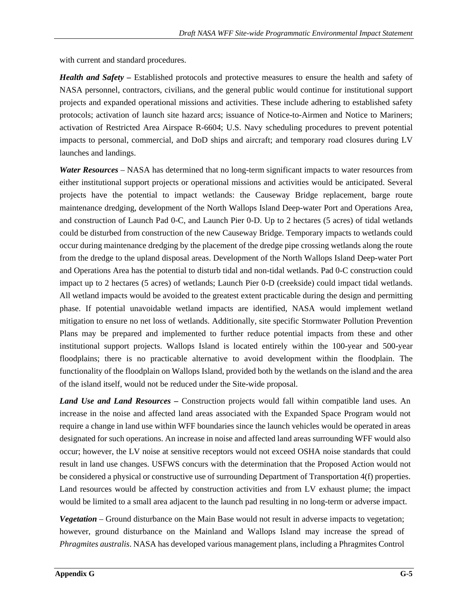with current and standard procedures.

*Health and Safety –* Established protocols and protective measures to ensure the health and safety of NASA personnel, contractors, civilians, and the general public would continue for institutional support projects and expanded operational missions and activities. These include adhering to established safety protocols; activation of launch site hazard arcs; issuance of Notice-to-Airmen and Notice to Mariners; activation of Restricted Area Airspace R-6604; U.S. Navy scheduling procedures to prevent potential impacts to personal, commercial, and DoD ships and aircraft; and temporary road closures during LV launches and landings.

*Water Resources* – NASA has determined that no long-term significant impacts to water resources from either institutional support projects or operational missions and activities would be anticipated. Several projects have the potential to impact wetlands: the Causeway Bridge replacement, barge route maintenance dredging, development of the North Wallops Island Deep-water Port and Operations Area, and construction of Launch Pad 0-C, and Launch Pier 0-D. Up to 2 hectares (5 acres) of tidal wetlands could be disturbed from construction of the new Causeway Bridge. Temporary impacts to wetlands could occur during maintenance dredging by the placement of the dredge pipe crossing wetlands along the route from the dredge to the upland disposal areas. Development of the North Wallops Island Deep-water Port and Operations Area has the potential to disturb tidal and non-tidal wetlands. Pad 0-C construction could impact up to 2 hectares (5 acres) of wetlands; Launch Pier 0-D (creekside) could impact tidal wetlands. All wetland impacts would be avoided to the greatest extent practicable during the design and permitting phase. If potential unavoidable wetland impacts are identified, NASA would implement wetland mitigation to ensure no net loss of wetlands. Additionally, site specific Stormwater Pollution Prevention Plans may be prepared and implemented to further reduce potential impacts from these and other institutional support projects. Wallops Island is located entirely within the 100-year and 500-year floodplains; there is no practicable alternative to avoid development within the floodplain. The functionality of the floodplain on Wallops Island, provided both by the wetlands on the island and the area of the island itself, would not be reduced under the Site-wide proposal.

*Land Use and Land Resources –* Construction projects would fall within compatible land uses. An increase in the noise and affected land areas associated with the Expanded Space Program would not require a change in land use within WFF boundaries since the launch vehicles would be operated in areas designated for such operations. An increase in noise and affected land areas surrounding WFF would also occur; however, the LV noise at sensitive receptors would not exceed OSHA noise standards that could result in land use changes. USFWS concurs with the determination that the Proposed Action would not be considered a physical or constructive use of surrounding Department of Transportation 4(f) properties. Land resources would be affected by construction activities and from LV exhaust plume; the impact would be limited to a small area adjacent to the launch pad resulting in no long-term or adverse impact.

*Vegetation* – Ground disturbance on the Main Base would not result in adverse impacts to vegetation; however, ground disturbance on the Mainland and Wallops Island may increase the spread of *Phragmites australis*. NASA has developed various management plans, including a Phragmites Control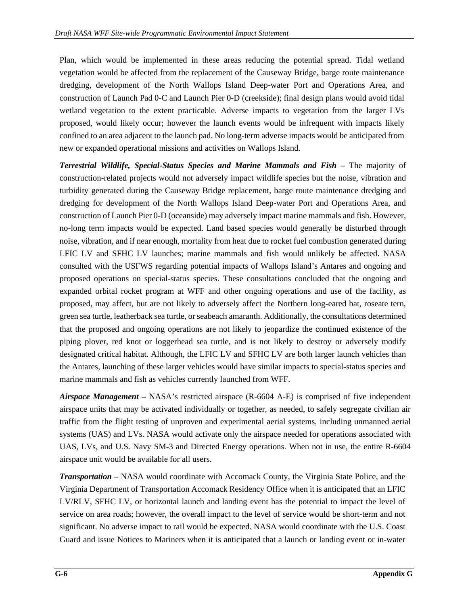Plan, which would be implemented in these areas reducing the potential spread. Tidal wetland vegetation would be affected from the replacement of the Causeway Bridge, barge route maintenance dredging, development of the North Wallops Island Deep-water Port and Operations Area, and construction of Launch Pad 0-C and Launch Pier 0-D (creekside); final design plans would avoid tidal wetland vegetation to the extent practicable. Adverse impacts to vegetation from the larger LVs proposed, would likely occur; however the launch events would be infrequent with impacts likely confined to an area adjacent to the launch pad. No long-term adverse impacts would be anticipated from new or expanded operational missions and activities on Wallops Island.

*Terrestrial Wildlife, Special-Status Species and Marine Mammals and Fish* – The majority of construction-related projects would not adversely impact wildlife species but the noise, vibration and turbidity generated during the Causeway Bridge replacement, barge route maintenance dredging and dredging for development of the North Wallops Island Deep-water Port and Operations Area, and construction of Launch Pier 0-D (oceanside) may adversely impact marine mammals and fish. However, no-long term impacts would be expected. Land based species would generally be disturbed through noise, vibration, and if near enough, mortality from heat due to rocket fuel combustion generated during LFIC LV and SFHC LV launches; marine mammals and fish would unlikely be affected. NASA consulted with the USFWS regarding potential impacts of Wallops Island's Antares and ongoing and proposed operations on special-status species. These consultations concluded that the ongoing and expanded orbital rocket program at WFF and other ongoing operations and use of the facility, as proposed, may affect, but are not likely to adversely affect the Northern long-eared bat, roseate tern, green sea turtle, leatherback sea turtle, or seabeach amaranth. Additionally, the consultations determined that the proposed and ongoing operations are not likely to jeopardize the continued existence of the piping plover, red knot or loggerhead sea turtle, and is not likely to destroy or adversely modify designated critical habitat. Although, the LFIC LV and SFHC LV are both larger launch vehicles than the Antares, launching of these larger vehicles would have similar impacts to special-status species and marine mammals and fish as vehicles currently launched from WFF.

*Airspace Management –* NASA's restricted airspace (R-6604 A-E) is comprised of five independent airspace units that may be activated individually or together, as needed, to safely segregate civilian air traffic from the flight testing of unproven and experimental aerial systems, including unmanned aerial systems (UAS) and LVs. NASA would activate only the airspace needed for operations associated with UAS, LVs, and U.S. Navy SM-3 and Directed Energy operations. When not in use, the entire R-6604 airspace unit would be available for all users.

*Transportation* – NASA would coordinate with Accomack County, the Virginia State Police, and the Virginia Department of Transportation Accomack Residency Office when it is anticipated that an LFIC LV/RLV, SFHC LV, or horizontal launch and landing event has the potential to impact the level of service on area roads; however, the overall impact to the level of service would be short-term and not significant. No adverse impact to rail would be expected. NASA would coordinate with the U.S. Coast Guard and issue Notices to Mariners when it is anticipated that a launch or landing event or in-water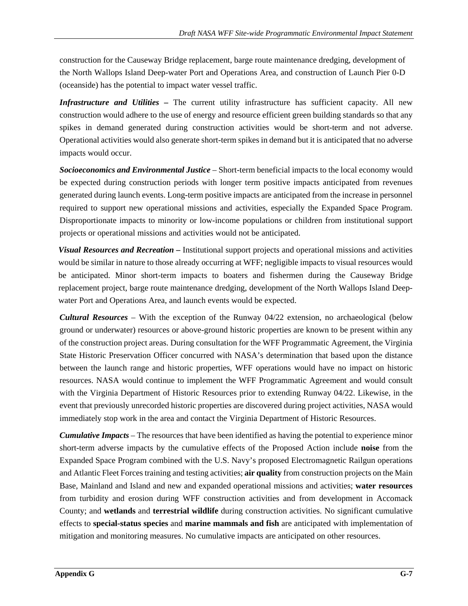construction for the Causeway Bridge replacement, barge route maintenance dredging, development of the North Wallops Island Deep-water Port and Operations Area, and construction of Launch Pier 0-D (oceanside) has the potential to impact water vessel traffic.

*Infrastructure and Utilities –* The current utility infrastructure has sufficient capacity. All new construction would adhere to the use of energy and resource efficient green building standards so that any spikes in demand generated during construction activities would be short-term and not adverse. Operational activities would also generate short-term spikes in demand but it is anticipated that no adverse impacts would occur.

*Socioeconomics and Environmental Justice* – Short-term beneficial impacts to the local economy would be expected during construction periods with longer term positive impacts anticipated from revenues generated during launch events. Long-term positive impacts are anticipated from the increase in personnel required to support new operational missions and activities, especially the Expanded Space Program. Disproportionate impacts to minority or low-income populations or children from institutional support projects or operational missions and activities would not be anticipated.

*Visual Resources and Recreation –* Institutional support projects and operational missions and activities would be similar in nature to those already occurring at WFF; negligible impacts to visual resources would be anticipated. Minor short-term impacts to boaters and fishermen during the Causeway Bridge replacement project, barge route maintenance dredging, development of the North Wallops Island Deepwater Port and Operations Area, and launch events would be expected.

*Cultural Resources* – With the exception of the Runway 04/22 extension, no archaeological (below ground or underwater) resources or above-ground historic properties are known to be present within any of the construction project areas. During consultation for the WFF Programmatic Agreement, the Virginia State Historic Preservation Officer concurred with NASA's determination that based upon the distance between the launch range and historic properties, WFF operations would have no impact on historic resources. NASA would continue to implement the WFF Programmatic Agreement and would consult with the Virginia Department of Historic Resources prior to extending Runway 04/22. Likewise, in the event that previously unrecorded historic properties are discovered during project activities, NASA would immediately stop work in the area and contact the Virginia Department of Historic Resources.

*Cumulative Impacts* – The resources that have been identified as having the potential to experience minor short-term adverse impacts by the cumulative effects of the Proposed Action include **noise** from the Expanded Space Program combined with the U.S. Navy's proposed Electromagnetic Railgun operations and Atlantic Fleet Forces training and testing activities; **air quality** from construction projects on the Main Base, Mainland and Island and new and expanded operational missions and activities; **water resources** from turbidity and erosion during WFF construction activities and from development in Accomack County; and **wetlands** and **terrestrial wildlife** during construction activities. No significant cumulative effects to **special-status species** and **marine mammals and fish** are anticipated with implementation of mitigation and monitoring measures. No cumulative impacts are anticipated on other resources.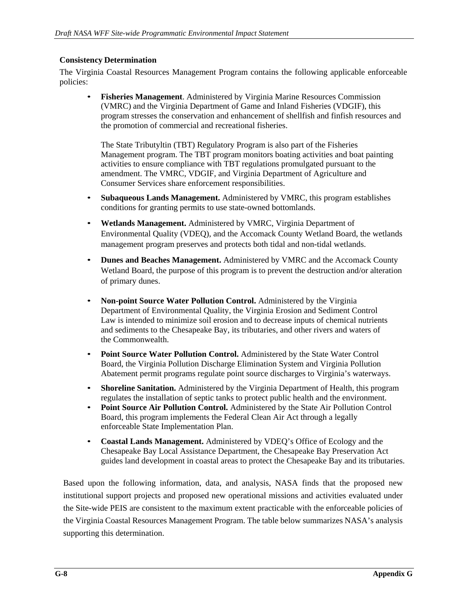## **Consistency Determination**

The Virginia Coastal Resources Management Program contains the following applicable enforceable policies:

• **Fisheries Management**. Administered by Virginia Marine Resources Commission (VMRC) and the Virginia Department of Game and Inland Fisheries (VDGIF), this program stresses the conservation and enhancement of shellfish and finfish resources and the promotion of commercial and recreational fisheries.

The State Tributyltin (TBT) Regulatory Program is also part of the Fisheries Management program. The TBT program monitors boating activities and boat painting activities to ensure compliance with TBT regulations promulgated pursuant to the amendment. The VMRC, VDGIF, and Virginia Department of Agriculture and Consumer Services share enforcement responsibilities.

- **Subaqueous Lands Management.** Administered by VMRC, this program establishes conditions for granting permits to use state-owned bottomlands.
- **Wetlands Management.** Administered by VMRC, Virginia Department of Environmental Quality (VDEQ), and the Accomack County Wetland Board, the wetlands management program preserves and protects both tidal and non-tidal wetlands.
- **Dunes and Beaches Management.** Administered by VMRC and the Accomack County Wetland Board, the purpose of this program is to prevent the destruction and/or alteration of primary dunes.
- **Non-point Source Water Pollution Control.** Administered by the Virginia Department of Environmental Quality, the Virginia Erosion and Sediment Control Law is intended to minimize soil erosion and to decrease inputs of chemical nutrients and sediments to the Chesapeake Bay, its tributaries, and other rivers and waters of the Commonwealth.
- **Point Source Water Pollution Control.** Administered by the State Water Control Board, the Virginia Pollution Discharge Elimination System and Virginia Pollution Abatement permit programs regulate point source discharges to Virginia's waterways.
- **Shoreline Sanitation.** Administered by the Virginia Department of Health, this program regulates the installation of septic tanks to protect public health and the environment.
- **Point Source Air Pollution Control.** Administered by the State Air Pollution Control Board, this program implements the Federal Clean Air Act through a legally enforceable State Implementation Plan.
- **Coastal Lands Management.** Administered by VDEQ's Office of Ecology and the Chesapeake Bay Local Assistance Department, the Chesapeake Bay Preservation Act guides land development in coastal areas to protect the Chesapeake Bay and its tributaries.

Based upon the following information, data, and analysis, NASA finds that the proposed new institutional support projects and proposed new operational missions and activities evaluated under the Site-wide PEIS are consistent to the maximum extent practicable with the enforceable policies of the Virginia Coastal Resources Management Program. The table below summarizes NASA's analysis supporting this determination.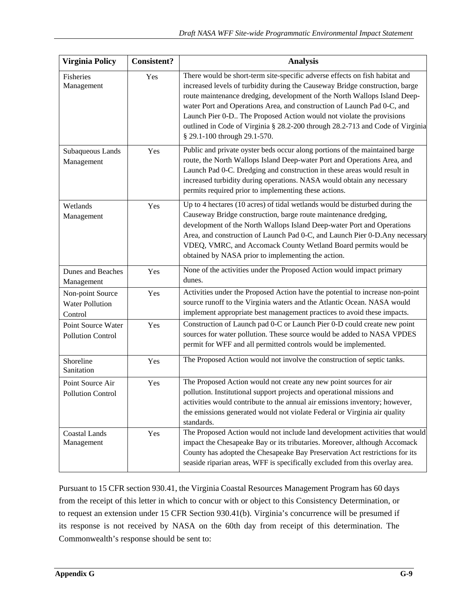| <b>Virginia Policy</b>                                | <b>Consistent?</b> | <b>Analysis</b>                                                                                                                                                                                                                                                                                                                                                                                                                                                                                              |
|-------------------------------------------------------|--------------------|--------------------------------------------------------------------------------------------------------------------------------------------------------------------------------------------------------------------------------------------------------------------------------------------------------------------------------------------------------------------------------------------------------------------------------------------------------------------------------------------------------------|
| Fisheries<br>Management                               | Yes                | There would be short-term site-specific adverse effects on fish habitat and<br>increased levels of turbidity during the Causeway Bridge construction, barge<br>route maintenance dredging, development of the North Wallops Island Deep-<br>water Port and Operations Area, and construction of Launch Pad 0-C, and<br>Launch Pier 0-D The Proposed Action would not violate the provisions<br>outlined in Code of Virginia § 28.2-200 through 28.2-713 and Code of Virginia<br>§ 29.1-100 through 29.1-570. |
| Subaqueous Lands<br>Management                        | Yes                | Public and private oyster beds occur along portions of the maintained barge<br>route, the North Wallops Island Deep-water Port and Operations Area, and<br>Launch Pad 0-C. Dredging and construction in these areas would result in<br>increased turbidity during operations. NASA would obtain any necessary<br>permits required prior to implementing these actions.                                                                                                                                       |
| Wetlands<br>Management                                | Yes                | Up to 4 hectares (10 acres) of tidal wetlands would be disturbed during the<br>Causeway Bridge construction, barge route maintenance dredging,<br>development of the North Wallops Island Deep-water Port and Operations<br>Area, and construction of Launch Pad 0-C, and Launch Pier 0-D. Any necessary<br>VDEQ, VMRC, and Accomack County Wetland Board permits would be<br>obtained by NASA prior to implementing the action.                                                                             |
| <b>Dunes and Beaches</b><br>Management                | Yes                | None of the activities under the Proposed Action would impact primary<br>dunes.                                                                                                                                                                                                                                                                                                                                                                                                                              |
| Non-point Source<br><b>Water Pollution</b><br>Control | Yes                | Activities under the Proposed Action have the potential to increase non-point<br>source runoff to the Virginia waters and the Atlantic Ocean. NASA would<br>implement appropriate best management practices to avoid these impacts.                                                                                                                                                                                                                                                                          |
| Point Source Water<br><b>Pollution Control</b>        | Yes                | Construction of Launch pad 0-C or Launch Pier 0-D could create new point<br>sources for water pollution. These source would be added to NASA VPDES<br>permit for WFF and all permitted controls would be implemented.                                                                                                                                                                                                                                                                                        |
| Shoreline<br>Sanitation                               | Yes                | The Proposed Action would not involve the construction of septic tanks.                                                                                                                                                                                                                                                                                                                                                                                                                                      |
| Point Source Air<br><b>Pollution Control</b>          | Yes                | The Proposed Action would not create any new point sources for air<br>pollution. Institutional support projects and operational missions and<br>activities would contribute to the annual air emissions inventory; however,<br>the emissions generated would not violate Federal or Virginia air quality<br>standards.                                                                                                                                                                                       |
| <b>Coastal Lands</b><br>Management                    | Yes                | The Proposed Action would not include land development activities that would<br>impact the Chesapeake Bay or its tributaries. Moreover, although Accomack<br>County has adopted the Chesapeake Bay Preservation Act restrictions for its<br>seaside riparian areas, WFF is specifically excluded from this overlay area.                                                                                                                                                                                     |

Pursuant to 15 CFR section 930.41, the Virginia Coastal Resources Management Program has 60 days from the receipt of this letter in which to concur with or object to this Consistency Determination, or to request an extension under 15 CFR Section 930.41(b). Virginia's concurrence will be presumed if its response is not received by NASA on the 60th day from receipt of this determination. The Commonwealth's response should be sent to: